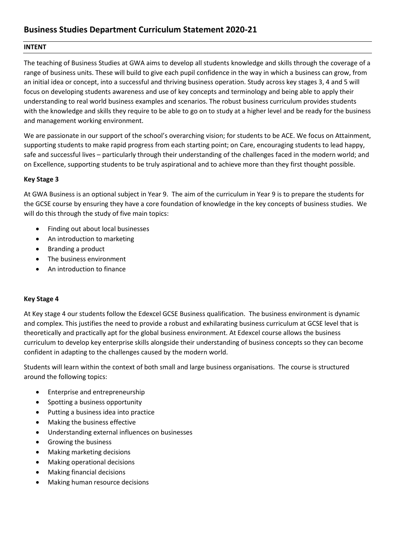## **INTENT**

The teaching of Business Studies at GWA aims to develop all students knowledge and skills through the coverage of a range of business units. These will build to give each pupil confidence in the way in which a business can grow, from an initial idea or concept, into a successful and thriving business operation. Study across key stages 3, 4 and 5 will focus on developing students awareness and use of key concepts and terminology and being able to apply their understanding to real world business examples and scenarios. The robust business curriculum provides students with the knowledge and skills they require to be able to go on to study at a higher level and be ready for the business and management working environment.

We are passionate in our support of the school's overarching vision: for students to be ACE. We focus on Attainment, supporting students to make rapid progress from each starting point; on Care, encouraging students to lead happy, safe and successful lives – particularly through their understanding of the challenges faced in the modern world; and on Excellence, supporting students to be truly aspirational and to achieve more than they first thought possible.

## **Key Stage 3**

At GWA Business is an optional subject in Year 9. The aim of the curriculum in Year 9 is to prepare the students for the GCSE course by ensuring they have a core foundation of knowledge in the key concepts of business studies. We will do this through the study of five main topics:

- Finding out about local businesses
- An introduction to marketing
- Branding a product
- The business environment
- An introduction to finance

## **Key Stage 4**

At Key stage 4 our students follow the Edexcel GCSE Business qualification. The business environment is dynamic and complex. This justifies the need to provide a robust and exhilarating business curriculum at GCSE level that is theoretically and practically apt for the global business environment. At Edexcel course allows the business curriculum to develop key enterprise skills alongside their understanding of business concepts so they can become confident in adapting to the challenges caused by the modern world.

Students will learn within the context of both small and large business organisations. The course is structured around the following topics:

- Enterprise and entrepreneurship
- Spotting a business opportunity
- Putting a business idea into practice
- Making the business effective
- Understanding external influences on businesses
- Growing the business
- Making marketing decisions
- Making operational decisions
- Making financial decisions
- Making human resource decisions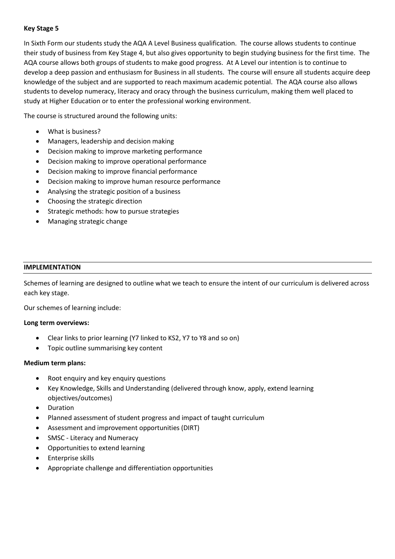## **Key Stage 5**

In Sixth Form our students study the AQA A Level Business qualification. The course allows students to continue their study of business from Key Stage 4, but also gives opportunity to begin studying business for the first time. The AQA course allows both groups of students to make good progress. At A Level our intention is to continue to develop a deep passion and enthusiasm for Business in all students. The course will ensure all students acquire deep knowledge of the subject and are supported to reach maximum academic potential. The AQA course also allows students to develop numeracy, literacy and oracy through the business curriculum, making them well placed to study at Higher Education or to enter the professional working environment.

The course is structured around the following units:

- What is business?
- Managers, leadership and decision making
- Decision making to improve marketing performance
- Decision making to improve operational performance
- Decision making to improve financial performance
- Decision making to improve human resource performance
- Analysing the strategic position of a business
- Choosing the strategic direction
- Strategic methods: how to pursue strategies
- Managing strategic change

### **IMPLEMENTATION**

Schemes of learning are designed to outline what we teach to ensure the intent of our curriculum is delivered across each key stage.

Our schemes of learning include:

## **Long term overviews:**

- Clear links to prior learning (Y7 linked to KS2, Y7 to Y8 and so on)
- Topic outline summarising key content

## **Medium term plans:**

- Root enquiry and key enquiry questions
- Key Knowledge, Skills and Understanding (delivered through know, apply, extend learning objectives/outcomes)
- Duration
- Planned assessment of student progress and impact of taught curriculum
- Assessment and improvement opportunities (DIRT)
- SMSC Literacy and Numeracy
- Opportunities to extend learning
- Enterprise skills
- Appropriate challenge and differentiation opportunities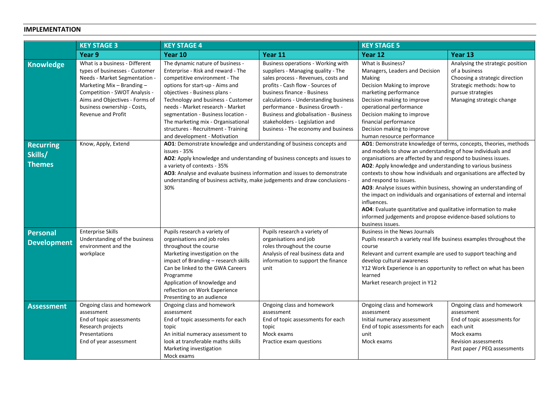## **IMPLEMENTATION**

|                                              | <b>KEY STAGE 3</b>                                                                                                                                                                                                                                                 | <b>KEY STAGE 4</b>                                                                                                                                                                                                                                                                                                                                                                                       |                                                                                                                                                                                                                                                                                                                                                                                  | <b>KEY STAGE 5</b>                                                                                                                                                                                                                                                                                                                                                                                                                                                                                                                                                                                                                                                            |                                                                                                                                                                    |
|----------------------------------------------|--------------------------------------------------------------------------------------------------------------------------------------------------------------------------------------------------------------------------------------------------------------------|----------------------------------------------------------------------------------------------------------------------------------------------------------------------------------------------------------------------------------------------------------------------------------------------------------------------------------------------------------------------------------------------------------|----------------------------------------------------------------------------------------------------------------------------------------------------------------------------------------------------------------------------------------------------------------------------------------------------------------------------------------------------------------------------------|-------------------------------------------------------------------------------------------------------------------------------------------------------------------------------------------------------------------------------------------------------------------------------------------------------------------------------------------------------------------------------------------------------------------------------------------------------------------------------------------------------------------------------------------------------------------------------------------------------------------------------------------------------------------------------|--------------------------------------------------------------------------------------------------------------------------------------------------------------------|
|                                              | Year 9                                                                                                                                                                                                                                                             | Year 10                                                                                                                                                                                                                                                                                                                                                                                                  | Year 11                                                                                                                                                                                                                                                                                                                                                                          | Year 12                                                                                                                                                                                                                                                                                                                                                                                                                                                                                                                                                                                                                                                                       | Year 13                                                                                                                                                            |
| <b>Knowledge</b>                             | What is a business - Different<br>types of businesses - Customer<br>Needs - Market Segmentation -<br>Marketing Mix $-$ Branding $-$<br>Competition - SWOT Analysis -<br>Aims and Objectives - Forms of<br>business ownership - Costs,<br><b>Revenue and Profit</b> | The dynamic nature of business -<br>Enterprise - Risk and reward - The<br>competitive environment - The<br>options for start-up - Aims and<br>objectives - Business plans -<br>Technology and business - Customer<br>needs - Market research - Market<br>segmentation - Business location -<br>The marketing mix - Organisational<br>structures - Recruitment - Training<br>and development - Motivation | Business operations - Working with<br>suppliers - Managing quality - The<br>sales process - Revenues, costs and<br>profits - Cash flow - Sources of<br>business finance - Business<br>calculations - Understanding business<br>performance - Business Growth -<br>Business and globalisation - Business<br>stakeholders - Legislation and<br>business - The economy and business | What is Business?<br>Managers, Leaders and Decision<br>Making<br>Decision Making to improve<br>marketing performance<br>Decision making to improve<br>operational performance<br>Decision making to improve<br>financial performance<br>Decision making to improve<br>human resource performance                                                                                                                                                                                                                                                                                                                                                                              | Analysing the strategic position<br>of a business<br>Choosing a strategic direction<br>Strategic methods: how to<br>pursue strategies<br>Managing strategic change |
| <b>Recurring</b><br>Skills/<br><b>Themes</b> | Know, Apply, Extend                                                                                                                                                                                                                                                | AO1: Demonstrate knowledge and understanding of business concepts and<br>issues - 35%<br>AO2: Apply knowledge and understanding of business concepts and issues to<br>a variety of contexts - 35%<br>AO3: Analyse and evaluate business information and issues to demonstrate<br>understanding of business activity, make judgements and draw conclusions -<br>30%                                       |                                                                                                                                                                                                                                                                                                                                                                                  | AO1: Demonstrate knowledge of terms, concepts, theories, methods<br>and models to show an understanding of how individuals and<br>organisations are affected by and respond to business issues.<br>AO2: Apply knowledge and understanding to various business<br>contexts to show how individuals and organisations are affected by<br>and respond to issues.<br>AO3: Analyse issues within business, showing an understanding of<br>the impact on individuals and organisations of external and internal<br>influences.<br>AO4: Evaluate quantitative and qualitative information to make<br>informed judgements and propose evidence-based solutions to<br>business issues. |                                                                                                                                                                    |
| <b>Personal</b><br><b>Development</b>        | <b>Enterprise Skills</b><br>Understanding of the business<br>environment and the<br>workplace                                                                                                                                                                      | Pupils research a variety of<br>organisations and job roles<br>throughout the course<br>Marketing investigation on the<br>impact of Branding - research skills<br>Can be linked to the GWA Careers<br>Programme<br>Application of knowledge and<br>reflection on Work Experience<br>Presenting to an audience                                                                                            | Pupils research a variety of<br>organisations and job<br>roles throughout the course<br>Analysis of real business data and<br>information to support the finance<br>unit                                                                                                                                                                                                         | <b>Business in the News Journals</b><br>Pupils research a variety real life business examples throughout the<br>course<br>Relevant and current example are used to support teaching and<br>develop cultural awareness<br>Y12 Work Experience is an opportunity to reflect on what has been<br>learned<br>Market research project in Y12                                                                                                                                                                                                                                                                                                                                       |                                                                                                                                                                    |
| <b>Assessment</b>                            | Ongoing class and homework<br>assessment<br>End of topic assessments<br>Research projects<br>Presentations<br>End of year assessment                                                                                                                               | Ongoing class and homework<br>assessment<br>End of topic assessments for each<br>topic<br>An initial numeracy assessment to<br>look at transferable maths skills<br>Marketing investigation<br>Mock exams                                                                                                                                                                                                | Ongoing class and homework<br>assessment<br>End of topic assessments for each<br>topic<br>Mock exams<br>Practice exam questions                                                                                                                                                                                                                                                  | Ongoing class and homework<br>assessment<br>Initial numeracy assessment<br>End of topic assessments for each<br>unit<br>Mock exams                                                                                                                                                                                                                                                                                                                                                                                                                                                                                                                                            | Ongoing class and homework<br>assessment<br>End of topic assessments for<br>each unit<br>Mock exams<br><b>Revision assessments</b><br>Past paper / PEQ assessments |